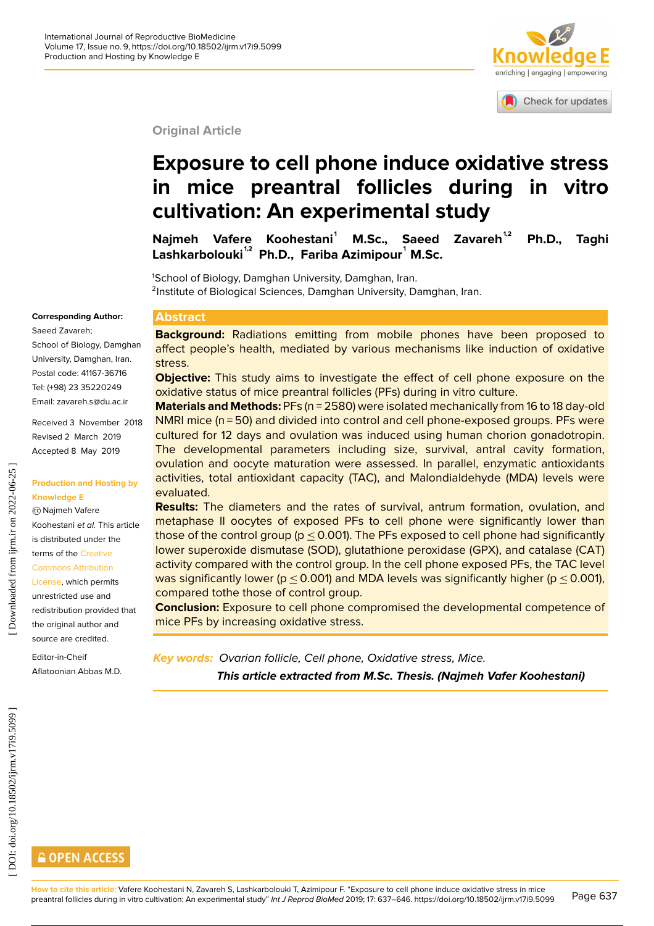

Check for updates

**Original Article**

# **Exposure to cell phone induce oxidative stress in mice preantral follicles during in vitro cultivation: An experimental study**

**Najmeh Vafere Koohestani <sup>1</sup> M.Sc., Saeed Zavareh1,2 Ph.D., Taghi Lashkarbolouki 1,2 Ph.D., Fariba Azimipour <sup>1</sup> M.Sc.**

<sup>1</sup>School of Biology, Damghan University, Damghan, Iran. <sup>2</sup>Institute of Biological Sciences, Damghan University, Damghan, Iran.

#### **Corresponding Author:**

Saeed Zavareh;

School of Biology, Damghan University, Damghan, Iran. Postal code: 41167-36716 Tel: (+98) 23 35220249 Email: zavareh.s@du.ac.ir

Received 3 November 2018 Revised 2 March 2019 Accepted 8 May 2019

**Production and Hosting by**

Koohestani et al. This article is distributed under the terms of the [Creative](http://creativecommons.org/licenses/by/4.0)

**Knowledge E** cc Najmeh Vafere

[Commons Attribution](http://creativecommons.org/licenses/by/4.0) [License,](http://creativecommons.org/licenses/by/4.0) which permits unrestricted use and redistribution provided that the original author and

Editor-in-Cheif Aflatoonian Abbas M.D.

source are credited.

#### **Abstract**

**Background:** Radiations emitting from mobile phones have been proposed to affect people's health, mediated by various mechanisms like induction of oxidative stress.

**Objective:** This study aims to investigate the effect of cell phone exposure on the oxidative status of mice preantral follicles (PFs) during in vitro culture.

**Materials and Methods:** PFs (n = 2580) were isolated mechanically from 16 to 18 day-old NMRI mice (n = 50) and divided into control and cell phone-exposed groups. PFs were cultured for 12 days and ovulation was induced using human chorion gonadotropin. The developmental parameters including size, survival, antral cavity formation, ovulation and oocyte maturation were assessed. In parallel, enzymatic antioxidants activities, total antioxidant capacity (TAC), and Malondialdehyde (MDA) levels were evaluated.

**Results:** The diameters and the rates of survival, antrum formation, ovulation, and metaphase II oocytes of exposed PFs to cell phone were significantly lower than those of the control group (p  $\leq$  0.001). The PFs exposed to cell phone had significantly lower superoxide dismutase (SOD), glutathione peroxidase (GPX), and catalase (CAT) activity compared with the control group. In the cell phone exposed PFs, the TAC level was significantly lower (p  $\leq$  0.001) and MDA levels was significantly higher (p  $\leq$  0.001), compared tothe those of control group.

**Conclusion:** Exposure to cell phone compromised the developmental competence of mice PFs by increasing oxidative stress.

**Key words:** Ovarian follicle, Cell phone, Oxidative stress, Mice. **This article extracted from M.Sc. Thesis. (Najmeh Vafer Koohestani)**

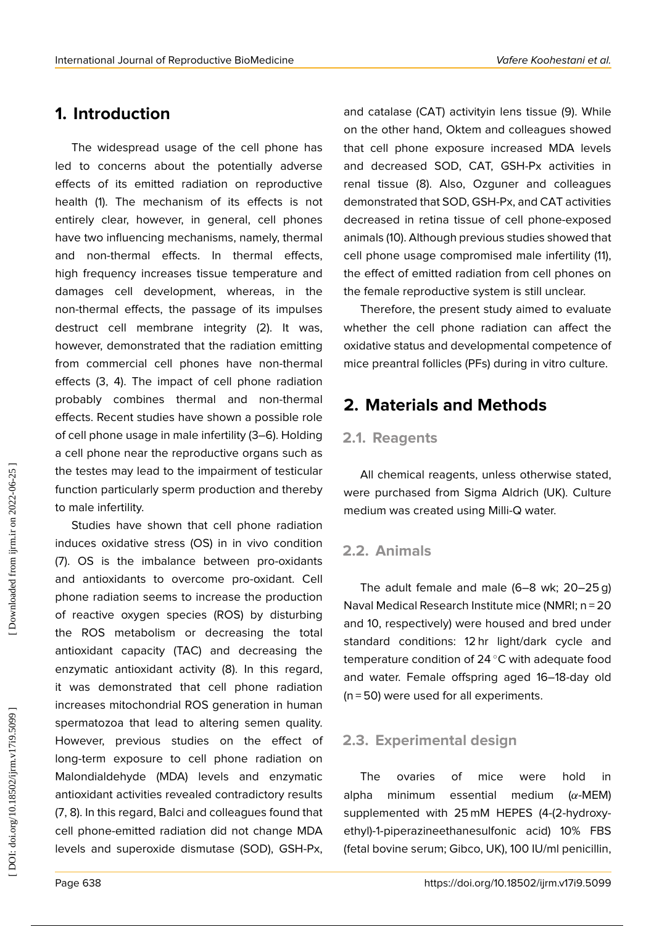## **1. Introduction**

The widespread usage of the cell phone has led to concerns about the potentially adverse effects of its emitted radiation on reproductive health (1). The mechanism of its effects is not entirely clear, however, in general, cell phones have two influencing mechanisms, namely, thermal and non-thermal effects. In thermal effects, high frequency increases tissue temperature and damages cell development, whereas, in the non-thermal effects, the passage of its impulses destruct cell membrane integrity (2). It was, however, demonstrated that the radiation emitting from commercial cell phones have non-thermal effects (3, 4). The impact of cell phone radiation probably combines thermal and non-thermal effects. Recent studies have shown a possible role of cell phone usage in male infertility (3–6). Holding a cell phone near the reproductive organs such as the testes may lead to the impairment of testicular function particularly sperm production and thereby to male infertility.

Studies have shown that cell phone radiation induces oxidative stress (OS) in in vivo condition (7). OS is the imbalance between pro-oxidants and antioxidants to overcome pro-oxidant. Cell phone radiation seems to increase the production of reactive oxygen species (ROS) by disturbing the ROS metabolism or decreasing the total antioxidant capacity (TAC) and decreasing the enzymatic antioxidant activity (8). In this regard, it was demonstrated that cell phone radiation increases mitochondrial ROS generation in human spermatozoa that lead to altering semen quality. However, previous studies on the effect of long-term exposure to cell phone radiation on Malondialdehyde (MDA) levels and enzymatic antioxidant activities revealed contradictory results (7, 8). In this regard, Balci and colleagues found that cell phone-emitted radiation did not change MDA levels and superoxide dismutase (SOD), GSH-Px,

and catalase (CAT) activityin lens tissue (9). While on the other hand, Oktem and colleagues showed that cell phone exposure increased MDA levels and decreased SOD, CAT, GSH-Px activities in renal tissue (8). Also, Ozguner and colleagues demonstrated that SOD, GSH-Px, and CAT activities decreased in retina tissue of cell phone-exposed animals (10). Although previous studies showed that cell phone usage compromised male infertility (11), the effect of emitted radiation from cell phones on the female reproductive system is still unclear.

Therefore, the present study aimed to evaluate whether the cell phone radiation can affect the oxidative status and developmental competence of mice preantral follicles (PFs) during in vitro culture.

## **2. Materials and Methods**

#### **2.1. Reagents**

All chemical reagents, unless otherwise stated, were purchased from Sigma Aldrich (UK). Culture medium was created using Milli-Q water.

### **2.2. Animals**

The adult female and male (6–8 wk; 20–25 g) Naval Medical Research Institute mice (NMRI; n = 20 and 10, respectively) were housed and bred under standard conditions: 12 hr light/dark cycle and temperature condition of 24 <mark>°C with adequate food</mark> and water. Female offspring aged 16–18-day old (n = 50) were used for all experiments.

### **2.3. Experimental design**

The ovaries of mice were hold in alpha minimum essential medium ( α-MEM) supplemented with 25 mM HEPES (4-(2-hydroxyethyl)-1-piperazineethanesulfonic acid) 10% FBS (fetal bovine serum; Gibco, UK), 100 IU/ml penicillin,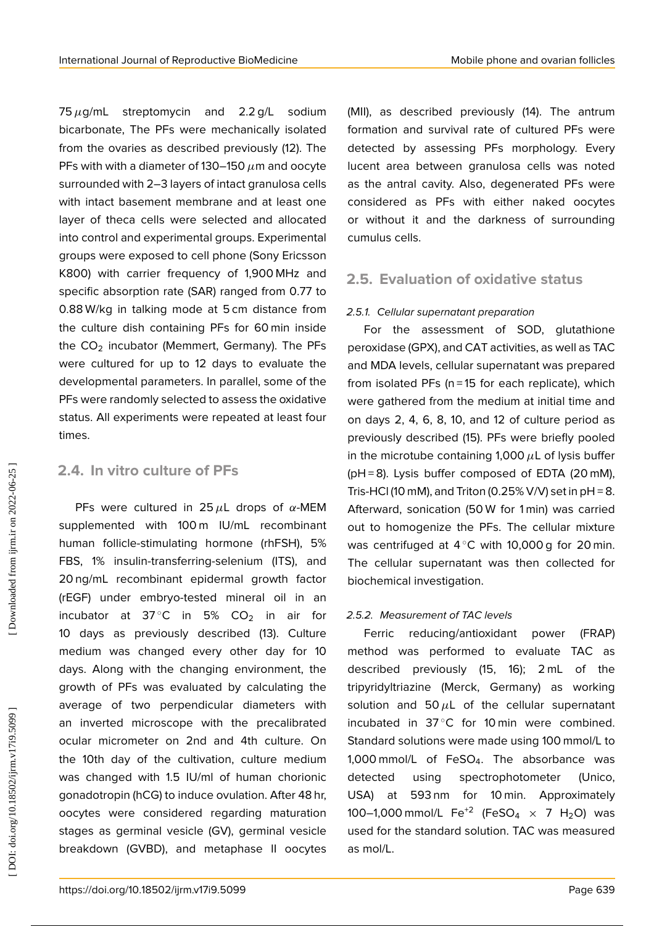$75\,\mu$ g/mL streptomycin and 2.2 g/L sodium bicarbonate, The PFs were mechanically isolated from the ovaries as described previously (12). The PFs with with a diameter of 130–150  $\mu$ m and oocyte surrounded with 2–3 layers of intact granulosa cells with intact basement membrane and at least one layer of theca cells were selected and allocated into control and experimental groups. Experimental groups were exposed to cell phone (Sony Ericsson K800) with carrier frequency of 1,900 MHz and specific absorption rate (SAR) ranged from 0.77 to 0.88 W/kg in talking mode at 5 cm distance from the culture dish containing PFs for 60 min inside the CO <sup>2</sup> incubator (Memmert, Germany). The PFs were cultured for up to 12 days to evaluate the developmental parameters. In parallel, some of the PFs were randomly selected to assess the oxidative status. All experiments were repeated at least four times.

### **2.4. In vitro culture of PFs**

PFs were cultured in 25  $\mu$ L drops of  $\alpha$ -MEM supplemented with 100 m IU/mL recombinant human follicle-stimulating hormone (rhFSH), 5% FBS, 1% insulin-transferring-selenium (ITS), and 20 ng/mL recombinant epidermal growth factor (rEGF) under embryo-tested mineral oil in an incubator at  $37^{\circ}$ C in 5% CO<sub>2</sub> in air for 10 days as previously described (13). Culture medium was changed every other day for 10 days. Along with the changing environment, the growth of PFs was evaluated by calculating the average of two perpendicular diameters with an inverted microscope with the precalibrated ocular micrometer on 2nd and 4th culture. On the 10th day of the cultivation, culture medium was changed with 1.5 IU/ml of human chorionic gonadotropin (hCG) to induce ovulation. After 48 hr, oocytes were considered regarding maturation stages as germinal vesicle (GV), germinal vesicle breakdown (GVBD), and metaphase II oocytes

(MII), as described previously (14). The antrum formation and survival rate of cultured PFs were detected by assessing PFs morphology. Every lucent area between granulosa cells was noted as the antral cavity. Also, degenerated PFs were considered as PFs with either naked oocytes or without it and the darkness of surrounding cumulus cells.

## **2.5. Evaluation of oxidative status**

#### 2.5.1. Cellular supernatant preparation

For the assessment of SOD, glutathione peroxidase (GPX), and CAT activities, as well as TAC and MDA levels, cellular supernatant was prepared from isolated PFs (n = 15 for each replicate), which were gathered from the medium at initial time and on days 2, 4, 6, 8, 10, and 12 of culture period as previously described (15). PFs were briefly pooled in the microtube containing 1,000  $\mu$ L of lysis buffer (pH = 8). Lysis buffer composed of EDTA (20 mM), Tris-HCl (10 mM), and Triton (0.25% V/V) set in  $pH = 8$ . Afterward, sonication (50 W for 1 min) was carried out to homogenize the PFs. The cellular mixture was centrifuged at  $4^{\circ}$ C with 10,000 g for 20 min. The cellular supernatant was then collected for biochemical investigation.

#### 2.5.2. Measurement of TAC levels

Ferric reducing/antioxidant power (FRAP) method was performed to evaluate TAC as described previously (15, 16); 2 mL of the tripyridyltriazine (Merck, Germany) as working solution and 50 $\mu$ L of the cellular supernatant incubated in  $37^{\circ}$ C for 10 min were combined. Standard solutions were made using 100 mmol/L to 1,000 mmol/L of FeSO <sup>4</sup>. The absorbance was detected using spectrophotometer (Unico, USA) at 593 nm for 10 min. Approximately 100–1,000 mmol/L  $\,$  Fe $^{+2}$  (FeSO $_4\,$   $\times$   $\,$  7  $\,$  H $_2$ O)  $\,$  was used for the standard solution. TAC was measured as mol/L.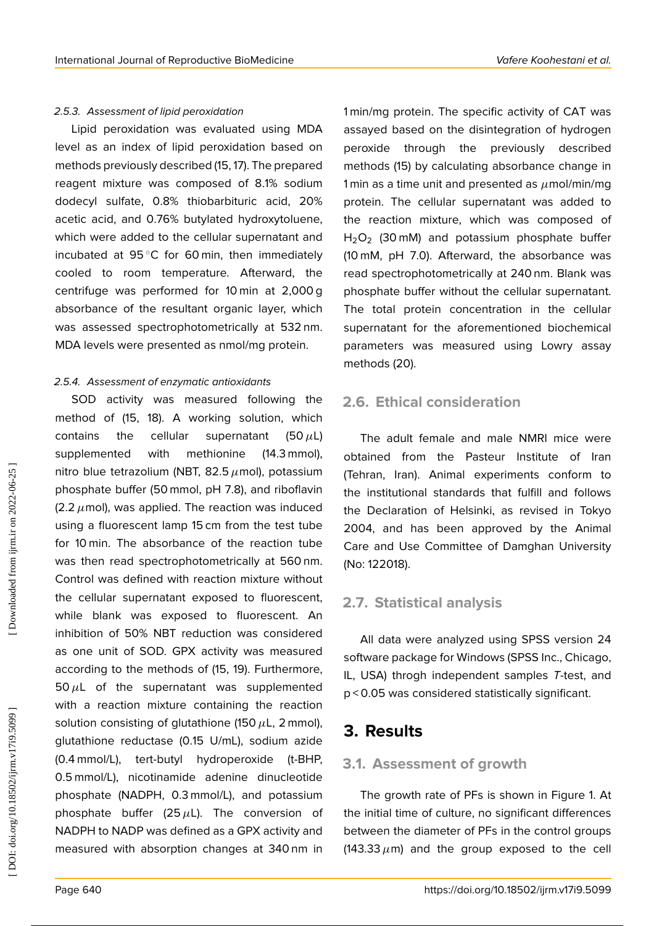#### 2.5.3. Assessment of lipid peroxidation

Lipid peroxidation was evaluated using MDA level as an index of lipid peroxidation based on methods previously described (15, 17). The prepared reagent mixture was composed of 8.1% sodium dodecyl sulfate, 0.8% thiobarbituric acid, 20% acetic acid, and 0.76% butylated hydroxytoluene, which were added to the cellular supernatant and incubated at 95 ◦C for 60 min, then immediately cooled to room temperature. Afterward, the centrifuge was performed for 10 min at 2,000 g absorbance of the resultant organic layer, which was assessed spectrophotometrically at 532 nm. MDA levels were presented as nmol/mg protein.

#### 2.5.4. Assessment of enzymatic antioxidants

SOD activity was measured following the method of (15, 18). A working solution, which contains the cellular supernatant  $(50 \mu L)$ supplemented with methionine (14.3 mmol), nitro blue tetrazolium (NBT, 82.5  $\mu$ mol), potassium phosphate buffer (50 mmol, pH 7.8), and riboflavin (2.2  $\mu$ mol), was applied. The reaction was induced using a fluorescent lamp 15 cm from the test tube for 10 min. The absorbance of the reaction tube was then read spectrophotometrically at 560 nm. Control was defined with reaction mixture without the cellular supernatant exposed to fluorescent, while blank was exposed to fluorescent. An inhibition of 50% NBT reduction was considered as one unit of SOD. GPX activity was measured according to the methods of (15, 19). Furthermore, 50 $\mu$ L of the supernatant was supplemented with a reaction mixture containing the reaction solution consisting of glutathione (150  $\mu$ L, 2 mmol), glutathione reductase (0.15 U/mL), sodium azide (0.4 mmol/L), tert-butyl hydroperoxide (t-BHP, 0.5 mmol/L), nicotinamide adenine dinucleotide phosphate (NADPH, 0.3 mmol/L), and potassium phosphate buffer (25 $\mu$ L). The conversion of NADPH to NADP was defined as a GPX activity and measured with absorption changes at 340 nm in

1 min/mg protein. The specific activity of CAT was assayed based on the disintegration of hydrogen peroxide through the previously described methods (15) by calculating absorbance change in 1 min as a time unit and presented as  $\mu$ mol/min/mg protein. The cellular supernatant was added to the reaction mixture, which was composed of  $H_2O_2$  (30 mM) and potassium phosphate buffer (10 mM, pH 7.0). Afterward, the absorbance was read spectrophotometrically at 240 nm. Blank was phosphate buffer without the cellular supernatant. The total protein concentration in the cellular supernatant for the aforementioned biochemical parameters was measured using Lowry assay methods (20).

## **2.6. Ethical consideration**

The adult female and male NMRI mice were obtained from the Pasteur Institute of Iran (Tehran, Iran). Animal experiments conform to the institutional standards that fulfill and follows the Declaration of Helsinki, as revised in Tokyo 2004, and has been approved by the Animal Care and Use Committee of Damghan University (No: 122018).

## **2.7. Statistical analysis**

All data were analyzed using SPSS version 24 software package for Windows (SPSS Inc., Chicago, IL, USA) throgh independent samples T-test, and p < 0.05 was considered statistically significant.

## **3. Results**

### **3.1. Assessment of growth**

The growth rate of PFs is shown in Figure 1. At the initial time of culture, no significant differences between the diameter of PFs in the control groups (143.33  $\mu$ m) and the group exposed to the cell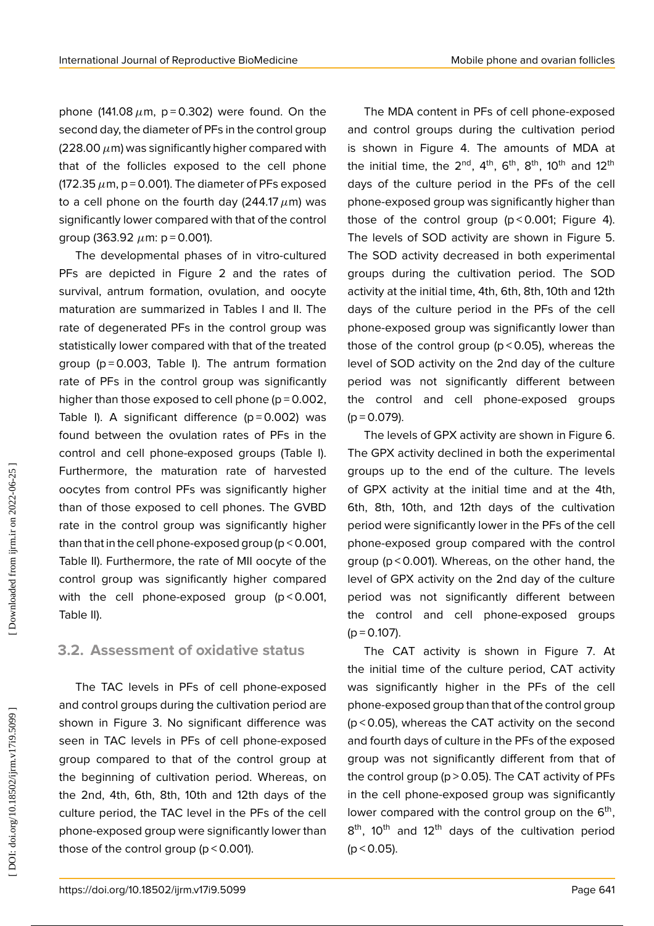phone (141.08  $\mu$ m, p=0.302) were found. On the second day, the diameter of PFs in the control group (228.00  $\mu$ m) was significantly higher compared with that of the follicles exposed to the cell phone (172.35  $\mu$ m, p = 0.001). The diameter of PFs exposed to a cell phone on the fourth day (244.17  $\mu$ m) was significantly lower compared with that of the control group (363.92  $\mu$ m: p = 0.001).

The developmental phases of in vitro-cultured PFs are depicted in Figure 2 and the rates of survival, antrum formation, ovulation, and oocyte maturation are summarized in Tables I and II. The rate of degenerated PFs in the control group was statistically lower compared with that of the treated group ( $p = 0.003$ , Table I). The antrum formation rate of PFs in the control group was significantly higher than those exposed to cell phone ( $p = 0.002$ , Table I). A significant difference  $(p=0.002)$  was found between the ovulation rates of PFs in the control and cell phone-exposed groups (Table I). Furthermore, the maturation rate of harvested oocytes from control PFs was significantly higher than of those exposed to cell phones. The GVBD rate in the control group was significantly higher than that in the cell phone-exposed group (p < 0.001, Table II). Furthermore, the rate of MII oocyte of the control group was significantly higher compared with the cell phone-exposed group  $(p < 0.001$ , Table II).

### **3.2. Assessment of oxidative status**

The TAC levels in PFs of cell phone-exposed and control groups during the cultivation period are shown in Figure 3. No significant difference was seen in TAC levels in PFs of cell phone-exposed group compared to that of the control group at the beginning of cultivation period. Whereas, on the 2nd, 4th, 6th, 8th, 10th and 12th days of the culture period, the TAC level in the PFs of the cell phone-exposed group were significantly lower than those of the control group (p < 0.001).

The MDA content in PFs of cell phone-exposed and control groups during the cultivation period is shown in Figure 4. The amounts of MDA at the initial time, the  $2<sup>nd</sup>$ ,  $4<sup>th</sup>$ ,  $6<sup>th</sup>$ ,  $8<sup>th</sup>$ ,  $10<sup>th</sup>$  and  $12<sup>th</sup>$ days of the culture period in the PFs of the cell phone-exposed group was significantly higher than those of the control group ( $p < 0.001$ ; Figure 4). The levels of SOD activity are shown in Figure 5. The SOD activity decreased in both experimental groups during the cultivation period. The SOD activity at the initial time, 4th, 6th, 8th, 10th and 12th days of the culture period in the PFs of the cell phone-exposed group was significantly lower than those of the control group ( $p$  < 0.05), whereas the level of SOD activity on the 2nd day of the culture period was not significantly different between the control and cell phone-exposed groups  $(p = 0.079)$ .

The levels of GPX activity are shown in Figure 6. The GPX activity declined in both the experimental groups up to the end of the culture. The levels of GPX activity at the initial time and at the 4th, 6th, 8th, 10th, and 12th days of the cultivation period were significantly lower in the PFs of the cell phone-exposed group compared with the control group (p < 0.001). Whereas, on the other hand, the level of GPX activity on the 2nd day of the culture period was not significantly different between the control and cell phone-exposed groups  $(p = 0.107)$ .

The CAT activity is shown in Figure 7. At the initial time of the culture period, CAT activity was significantly higher in the PFs of the cell phone-exposed group than that of the control group (p < 0.05), whereas the CAT activity on the second and fourth days of culture in the PFs of the exposed group was not significantly different from that of the control group ( $p > 0.05$ ). The CAT activity of PFs in the cell phone-exposed group was significantly lower compared with the control group on the 6<sup>th</sup>, 8<sup>th</sup>, 10<sup>th</sup> and 12<sup>th</sup> days of the cultivation period  $(p < 0.05)$ .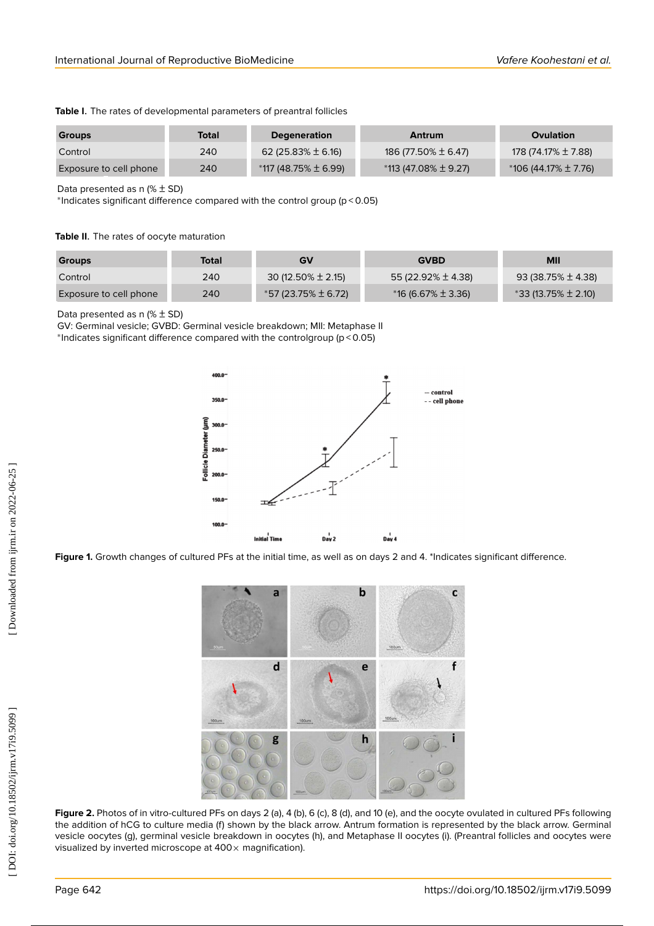|  | Table I. The rates of developmental parameters of preantral follicles |  |  |
|--|-----------------------------------------------------------------------|--|--|
|  |                                                                       |  |  |

| <b>Groups</b>          | Total | <b>Degeneration</b>      | Antrum                   | <b>Ovulation</b>         |
|------------------------|-------|--------------------------|--------------------------|--------------------------|
| Control                | 240   | 62 (25.83% $\pm$ 6.16)   | 186 (77.50% ± 6.47)      | 178 (74.17% ± 7.88)      |
| Exposure to cell phone | 240   | $*117(48.75\% \pm 6.99)$ | $*113(47.08\% \pm 9.27)$ | $*106(44.17\% \pm 7.76)$ |

Data presented as  $n \times t$  SD)

∗ Indicates significant difference compared with the control group (p < 0.05)

#### **Table II** . The rates of oocyte maturation

| <b>Groups</b>          | Total | GV                     | <b>GVBD</b>            | <b>MII</b>              |
|------------------------|-------|------------------------|------------------------|-------------------------|
| Control                | 240   | 30 (12.50% $\pm$ 2.15) | 55 (22.92% ± 4.38)     | $93(38.75\% \pm 4.38)$  |
| Exposure to cell phone | 240   | *57 (23.75% ± 6.72)    | $*16(6.67\% \pm 3.36)$ | $*33(13.75\% \pm 2.10)$ |

Data presented as  $n \times t$  SD)

GV: Germinal vesicle; GVBD: Germinal vesicle breakdown; MII: Metaphase II <sup>∗</sup> \*Indicates significant difference compared with the controlgroup ( $p < 0.05$ )



Figure 1. Growth changes of cultured PFs at the initial time, as well as on days 2 and 4. \*Indicates significant difference.



**Figure 2.** Photos of in vitro-cultured PFs on days 2 (a), 4 (b), 6 (c), 8 (d), and 10 (e), and the oocyte ovulated in cultured PFs following the addition of hCG to culture media (f) shown by the black arrow. Antrum formation is represented by the black arrow. Germinal vesicle oocytes (g), germinal vesicle breakdown in oocytes (h), and Metaphase II oocytes (i). (Preantral follicles and oocytes were visualized by inverted microscope at  $400 \times$  magnification).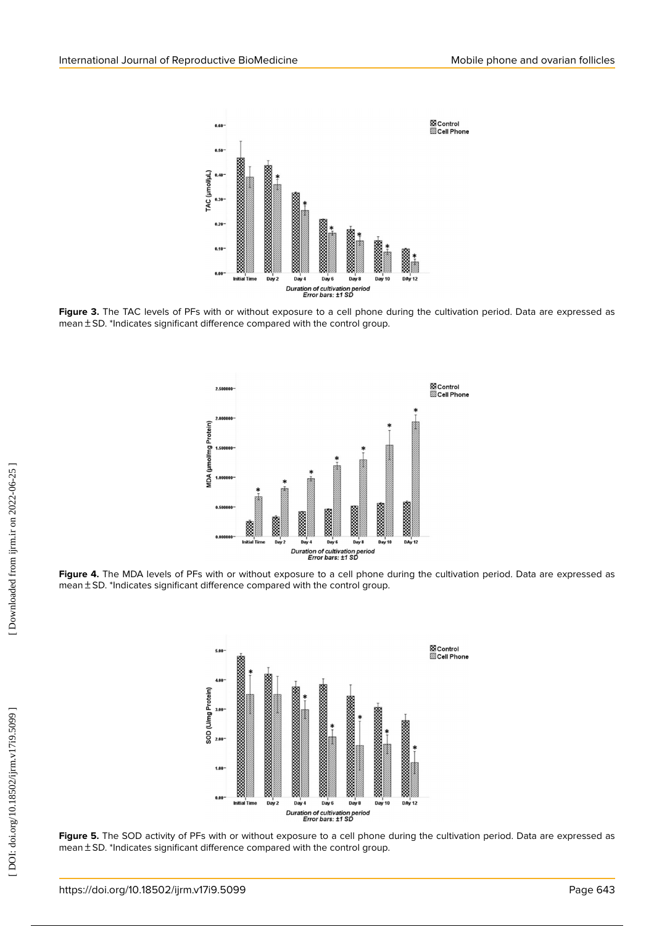

Figure 3. The TAC levels of PFs with or without exposure to a cell phone during the cultivation period. Data are expressed as  $mean \pm SD$ . \*Indicates significant difference compared with the control group.



**Figure 4.** The MDA levels of PFs with or without exposure to a cell phone during the cultivation period. Data are expressed as  $mean \pm SD$ . \*Indicates significant difference compared with the control group.



**Figure 5.** The SOD activity of PFs with or without exposure to a cell phone during the cultivation period. Data are expressed as  $mean \pm SD$ . \*Indicates significant difference compared with the control group.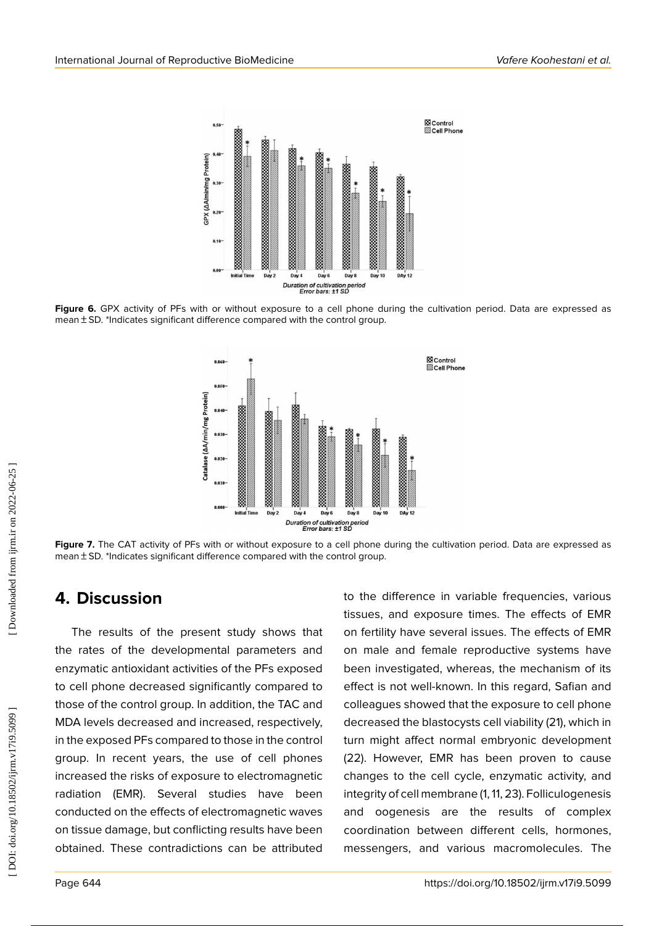

**Figure 6.** GPX activity of PFs with or without exposure to a cell phone during the cultivation period. Data are expressed as mean ± SD. \*Indicates significant difference compared with the control group.



**Figure 7.** The CAT activity of PFs with or without exposure to a cell phone during the cultivation period. Data are expressed as mean ± SD. \*Indicates significant difference compared with the control group.

## **4. Discussion**

The results of the present study shows that the rates of the developmental parameters and enzymatic antioxidant activities of the PFs exposed to cell phone decreased significantly compared to those of the control group. In addition, the TAC and MDA levels decreased and increased, respectively, in the exposed PFs compared to those in the control group. In recent years, the use of cell phones increased the risks of exposure to electromagnetic radiation (EMR). Several studies have been conducted on the effects of electromagnetic waves on tissue damage, but conflicting results have been obtained. These contradictions can be attributed to the difference in variable frequencies, various tissues, and exposure times. The effects of EMR on fertility have several issues. The effects of EMR on male and female reproductive systems have been investigated, whereas, the mechanism of its effect is not well-known. In this regard, Safian and colleagues showed that the exposure to cell phone decreased the blastocysts cell viability (21), which in turn might affect normal embryonic development (22). However, EMR has been proven to cause changes to the cell cycle, enzymatic activity, and integrity of cell membrane (1, 11, 23). Folliculogenesis and oogenesis are the results of complex coordination between different cells, hormones, messengers, and various macromolecules. The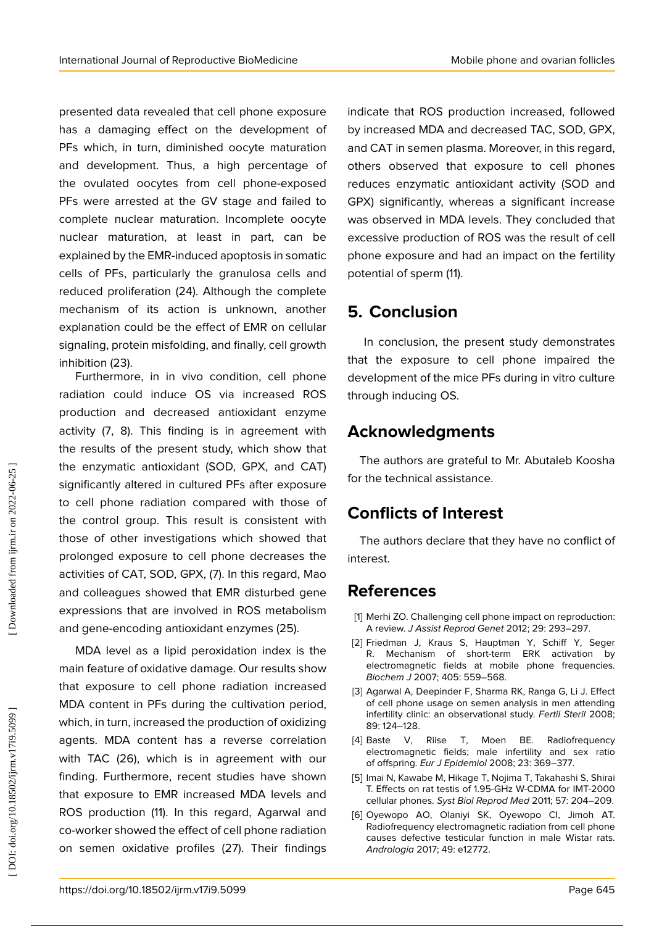presented data revealed that cell phone exposure has a damaging effect on the development of PFs which, in turn, diminished oocyte maturation and development. Thus, a high percentage of the ovulated oocytes from cell phone-exposed PFs were arrested at the GV stage and failed to complete nuclear maturation. Incomplete oocyte nuclear maturation, at least in part, can be explained by the EMR-induced apoptosis in somatic cells of PFs, particularly the granulosa cells and reduced proliferation (24). Although the complete mechanism of its action is unknown, another explanation could be the effect of EMR on cellular signaling, protein misfolding, and finally, cell growth inhibition (23).

Furthermore, in in vivo condition, cell phone radiation could induce OS via increased ROS production and decreased antioxidant enzyme activity (7, 8). This finding is in agreement with the results of the present study, which show that the enzymatic antioxidant (SOD, GPX, and CAT) significantly altered in cultured PFs after exposure to cell phone radiation compared with those of the control group. This result is consistent with those of other investigations which showed that prolonged exposure to cell phone decreases the activities of CAT, SOD, GPX, (7). In this regard, Mao and colleagues showed that EMR disturbed gene expressions that are involved in ROS metabolism and gene-encoding antioxidant enzymes (25).

MDA level as a lipid peroxidation index is the main feature of oxidative damage. Our results show that exposure to cell phone radiation increased MDA content in PFs during the cultivation period, which, in turn, increased the production of oxidizing agents. MDA content has a reverse correlation with TAC (26), which is in agreement with our finding. Furthermore, recent studies have shown that exposure to EMR increased MDA levels and ROS production (11). In this regard, Agarwal and co-worker showed the effect of cell phone radiation on semen oxidative profiles (27). Their findings indicate that ROS production increased, followed by increased MDA and decreased TAC, SOD, GPX, and CAT in semen plasma. Moreover, in this regard, others observed that exposure to cell phones reduces enzymatic antioxidant activity (SOD and GPX) significantly, whereas a significant increase was observed in MDA levels. They concluded that excessive production of ROS was the result of cell phone exposure and had an impact on the fertility potential of sperm (11).

## **5. Conclusion**

In conclusion, the present study demonstrates that the exposure to cell phone impaired the development of the mice PFs during in vitro culture through inducing OS.

## **Acknowledgments**

The authors are grateful to Mr. Abutaleb Koosha for the technical assistance.

## **Conflicts of Interest**

The authors declare that they have no conflict of interest.

## **References**

- [1] Merhi ZO. Challenging cell phone impact on reproduction: A review. J Assist Reprod Genet 2012; 29: 293–297.
- [2] Friedman J, Kraus S, Hauptman Y, Schiff Y, Seger R. Mechanism of short-term ERK activation by electromagnetic fields at mobile phone frequencies. Biochem J 2007; 405: 559–568.
- [3] Agarwal A, Deepinder F, Sharma RK, Ranga G, Li J. Effect of cell phone usage on semen analysis in men attending infertility clinic: an observational study. Fertil Steril 2008; 89: 124–128.
- [4] Baste V, Riise T, Moen BE. Radiofrequency electromagnetic fields; male infertility and sex ratio of offspring. Eur J Epidemiol 2008; 23: 369–377.
- [5] Imai N, Kawabe M, Hikage T, Nojima T, Takahashi S, Shirai T. Effects on rat testis of 1.95-GHz W-CDMA for IMT-2000 cellular phones. Syst Biol Reprod Med 2011; 57: 204–209.
- [6] Oyewopo AO, Olaniyi SK, Oyewopo CI, Jimoh AT. Radiofrequency electromagnetic radiation from cell phone causes defective testicular function in male Wistar rats. Andrologia 2017; 49: e12772.